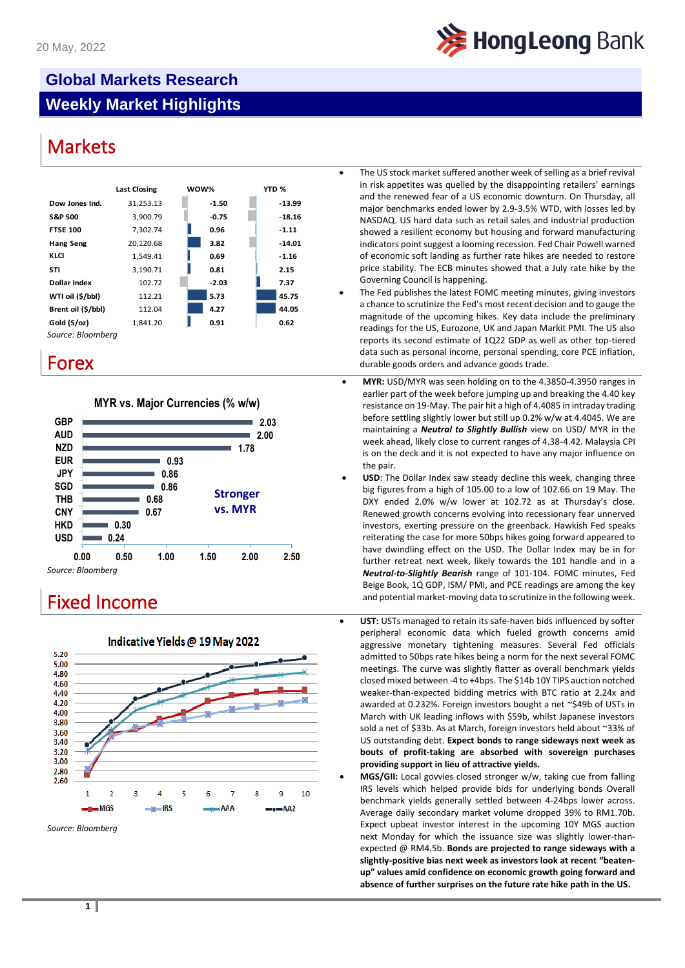

# **Global Markets Research Weekly Market Highlights**

# **Markets**





| HKD               |      | 0.30 |      |      |      |      |
|-------------------|------|------|------|------|------|------|
| <b>USD</b>        |      | 0.24 |      |      |      |      |
|                   | 0.00 | 0.50 | 1.00 | 1.50 | 2.00 | 2.50 |
| Source: Bloomberg |      |      |      |      |      |      |



Indicative Yields @ 19 May 2022

- The US stock market suffered another week of selling as a brief revival in risk appetites was quelled by the disappointing retailers' earnings and the renewed fear of a US economic downturn. On Thursday, all major benchmarks ended lower by 2.9-3.5% WTD, with losses led by NASDAQ. US hard data such as retail sales and industrial production showed a resilient economy but housing and forward manufacturing indicators point suggest a looming recession. Fed Chair Powell warned of economic soft landing as further rate hikes are needed to restore price stability. The ECB minutes showed that a July rate hike by the Governing Council is happening.
- The Fed publishes the latest FOMC meeting minutes, giving investors a chance to scrutinize the Fed's most recent decision and to gauge the magnitude of the upcoming hikes. Key data include the preliminary readings for the US, Eurozone, UK and Japan Markit PMI. The US also reports its second estimate of 1Q22 GDP as well as other top-tiered data such as personal income, personal spending, core PCE inflation, FOTEX **FOREX EXECUTE:** The state of the state durable goods orders and advance goods trade.
	- **MYR:** USD/MYR was seen holding on to the 4.3850-4.3950 ranges in earlier part of the week before jumping up and breaking the 4.40 key resistance on 19-May. The pair hit a high of 4.4085 in intraday trading before settling slightly lower but still up 0.2% w/w at 4.4045. We are maintaining a *Neutral to Slightly Bullish* view on USD/ MYR in the week ahead, likely close to current ranges of 4.38-4.42. Malaysia CPI is on the deck and it is not expected to have any major influence on the pair.
- **USD**: The Dollar Index saw steady decline this week, changing three big figures from a high of 105.00 to a low of 102.66 on 19 May. The DXY ended 2.0% w/w lower at 102.72 as at Thursday's close. Renewed growth concerns evolving into recessionary fear unnerved investors, exerting pressure on the greenback. Hawkish Fed speaks reiterating the case for more 50bps hikes going forward appeared to have dwindling effect on the USD. The Dollar Index may be in for further retreat next week, likely towards the 101 handle and in a *Neutral-to-Slightly Bearish* range of 101-104. FOMC minutes, Fed Beige Book, 1Q GDP, ISM/ PMI, and PCE readings are among the key Fixed Income **Fixed Income** and potential market-moving data to scrutinize in the following week.
	- **UST:** USTs managed to retain its safe-haven bids influenced by softer peripheral economic data which fueled growth concerns amid aggressive monetary tightening measures. Several Fed officials admitted to 50bps rate hikes being a norm for the next several FOMC meetings. The curve was slightly flatter as overall benchmark yields closed mixed between -4 to +4bps. The \$14b 10Y TIPS auction notched weaker-than-expected bidding metrics with BTC ratio at 2.24x and awarded at 0.232%. Foreign investors bought a net ~\$49b of USTs in March with UK leading inflows with \$59b, whilst Japanese investors sold a net of \$33b. As at March, foreign investors held about ~33% of US outstanding debt. **Expect bonds to range sideways next week as bouts of profit-taking are absorbed with sovereign purchases providing support in lieu of attractive yields.**
		- **MGS/GII:** Local govvies closed stronger w/w, taking cue from falling IRS levels which helped provide bids for underlying bonds Overall benchmark yields generally settled between 4-24bps lower across. Average daily secondary market volume dropped 39% to RM1.70b. Expect upbeat investor interest in the upcoming 10Y MGS auction next Monday for which the issuance size was slightly lower-thanexpected @ RM4.5b. **Bonds are projected to range sideways with a slightly-positive bias next week as investors look at recent "beatenup" values amid confidence on economic growth going forward and absence of further surprises on the future rate hike path in the US.**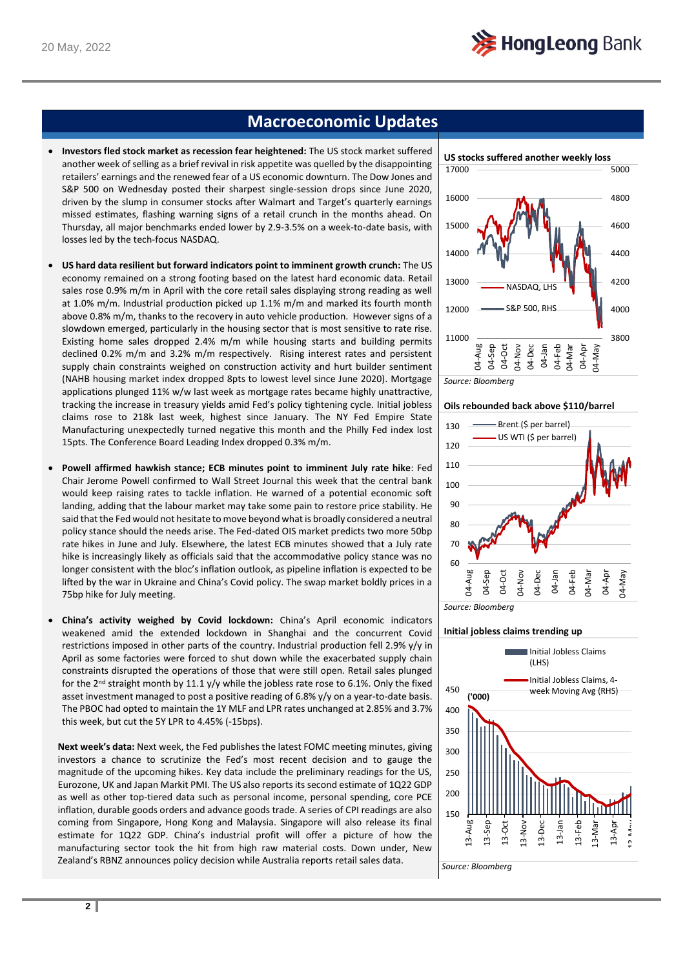

## **Macroeconomic Updates**

- **Investors fled stock market as recession fear heightened:** The US stock market suffered another week of selling as a brief revival in risk appetite was quelled by the disappointing retailers' earnings and the renewed fear of a US economic downturn. The Dow Jones and S&P 500 on Wednesday posted their sharpest single-session drops since June 2020, driven by the slump in consumer stocks after Walmart and Target's quarterly earnings missed estimates, flashing warning signs of a retail crunch in the months ahead. On Thursday, all major benchmarks ended lower by 2.9-3.5% on a week-to-date basis, with losses led by the tech-focus NASDAQ.
- **US hard data resilient but forward indicators point to imminent growth crunch:** The US economy remained on a strong footing based on the latest hard economic data. Retail sales rose 0.9% m/m in April with the core retail sales displaying strong reading as well at 1.0% m/m. Industrial production picked up 1.1% m/m and marked its fourth month above 0.8% m/m, thanks to the recovery in auto vehicle production. However signs of a slowdown emerged, particularly in the housing sector that is most sensitive to rate rise. Existing home sales dropped 2.4% m/m while housing starts and building permits declined 0.2% m/m and 3.2% m/m respectively. Rising interest rates and persistent supply chain constraints weighed on construction activity and hurt builder sentiment (NAHB housing market index dropped 8pts to lowest level since June 2020). Mortgage applications plunged 11% w/w last week as mortgage rates became highly unattractive, tracking the increase in treasury yields amid Fed's policy tightening cycle. Initial jobless claims rose to 218k last week, highest since January. The NY Fed Empire State Manufacturing unexpectedly turned negative this month and the Philly Fed index lost 15pts. The Conference Board Leading Index dropped 0.3% m/m.
- **Powell affirmed hawkish stance; ECB minutes point to imminent July rate hike**: Fed Chair Jerome Powell confirmed to Wall Street Journal this week that the central bank would keep raising rates to tackle inflation. He warned of a potential economic soft landing, adding that the labour market may take some pain to restore price stability. He said that the Fed would not hesitate to move beyond what is broadly considered a neutral policy stance should the needs arise. The Fed-dated OIS market predicts two more 50bp rate hikes in June and July. Elsewhere, the latest ECB minutes showed that a July rate hike is increasingly likely as officials said that the accommodative policy stance was no longer consistent with the bloc's inflation outlook, as pipeline inflation is expected to be lifted by the war in Ukraine and China's Covid policy. The swap market boldly prices in a 75bp hike for July meeting.
- **China's activity weighed by Covid lockdown:** China's April economic indicators weakened amid the extended lockdown in Shanghai and the concurrent Covid restrictions imposed in other parts of the country. Industrial production fell 2.9% y/y in April as some factories were forced to shut down while the exacerbated supply chain constraints disrupted the operations of those that were still open. Retail sales plunged for the 2<sup>nd</sup> straight month by 11.1 y/y while the jobless rate rose to 6.1%. Only the fixed asset investment managed to post a positive reading of 6.8% y/y on a year-to-date basis. The PBOC had opted to maintain the 1Y MLF and LPR rates unchanged at 2.85% and 3.7% this week, but cut the 5Y LPR to 4.45% (-15bps).

**Next week's data:** Next week, the Fed publishes the latest FOMC meeting minutes, giving investors a chance to scrutinize the Fed's most recent decision and to gauge the magnitude of the upcoming hikes. Key data include the preliminary readings for the US, Eurozone, UK and Japan Markit PMI. The US also reports its second estimate of 1Q22 GDP as well as other top-tiered data such as personal income, personal spending, core PCE inflation, durable goods orders and advance goods trade. A series of CPI readings are also coming from Singapore, Hong Kong and Malaysia. Singapore will also release its final estimate for 1Q22 GDP. China's industrial profit will offer a picture of how the manufacturing sector took the hit from high raw material costs. Down under, New Zealand's RBNZ announces policy decision while Australia reports retail sales data.



*Source: Bloomberg*

**Oils rebounded back above \$110/barrel**



*Source: Bloomberg*

#### **Initial jobless claims trending up**

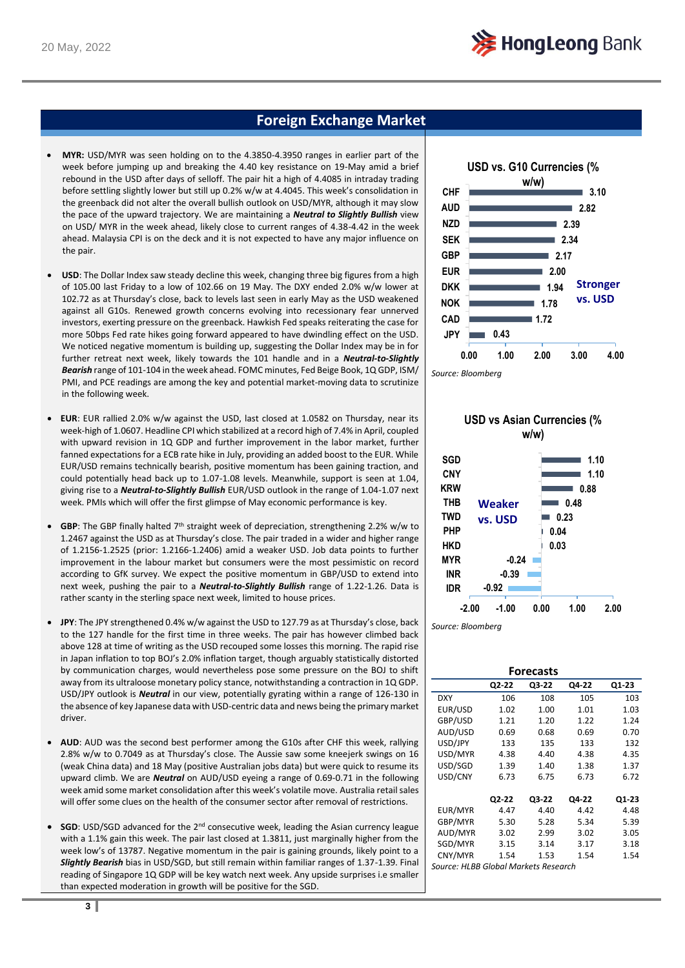## **Foreign Exchange Market**

- **MYR:** USD/MYR was seen holding on to the 4.3850-4.3950 ranges in earlier part of the week before jumping up and breaking the 4.40 key resistance on 19-May amid a brief rebound in the USD after days of selloff. The pair hit a high of 4.4085 in intraday trading before settling slightly lower but still up 0.2% w/w at 4.4045. This week's consolidation in the greenback did not alter the overall bullish outlook on USD/MYR, although it may slow the pace of the upward trajectory. We are maintaining a *Neutral to Slightly Bullish* view on USD/ MYR in the week ahead, likely close to current ranges of 4.38-4.42 in the week ahead. Malaysia CPI is on the deck and it is not expected to have any major influence on the pair.
- **USD**: The Dollar Index saw steady decline this week, changing three big figures from a high of 105.00 last Friday to a low of 102.66 on 19 May. The DXY ended 2.0% w/w lower at 102.72 as at Thursday's close, back to levels last seen in early May as the USD weakened against all G10s. Renewed growth concerns evolving into recessionary fear unnerved investors, exerting pressure on the greenback. Hawkish Fed speaks reiterating the case for more 50bps Fed rate hikes going forward appeared to have dwindling effect on the USD. We noticed negative momentum is building up, suggesting the Dollar Index may be in for further retreat next week, likely towards the 101 handle and in a *Neutral-to-Slightly Bearish* range of 101-104 in the week ahead. FOMC minutes, Fed Beige Book, 1Q GDP, ISM/ PMI, and PCE readings are among the key and potential market-moving data to scrutinize in the following week.
- **EUR**: EUR rallied 2.0% w/w against the USD, last closed at 1.0582 on Thursday, near its week-high of 1.0607. Headline CPI which stabilized at a record high of 7.4% in April, coupled with upward revision in 1Q GDP and further improvement in the labor market, further fanned expectations for a ECB rate hike in July, providing an added boost to the EUR. While EUR/USD remains technically bearish, positive momentum has been gaining traction, and could potentially head back up to 1.07-1.08 levels. Meanwhile, support is seen at 1.04, giving rise to a *Neutral-to-Slightly Bullish* EUR/USD outlook in the range of 1.04-1.07 next week. PMIs which will offer the first glimpse of May economic performance is key.
- GBP: The GBP finally halted 7<sup>th</sup> straight week of depreciation, strengthening 2.2% w/w to 1.2467 against the USD as at Thursday's close. The pair traded in a wider and higher range of 1.2156-1.2525 (prior: 1.2166-1.2406) amid a weaker USD. Job data points to further improvement in the labour market but consumers were the most pessimistic on record according to GfK survey. We expect the positive momentum in GBP/USD to extend into next week, pushing the pair to a *Neutral-to-Slightly Bullish* range of 1.22-1.26. Data is rather scanty in the sterling space next week, limited to house prices.
- **JPY**: The JPY strengthened 0.4% w/w against the USD to 127.79 as at Thursday's close, back to the 127 handle for the first time in three weeks. The pair has however climbed back above 128 at time of writing as the USD recouped some losses this morning. The rapid rise in Japan inflation to top BOJ's 2.0% inflation target, though arguably statistically distorted by communication charges, would nevertheless pose some pressure on the BOJ to shift away from its ultraloose monetary policy stance, notwithstanding a contraction in 1Q GDP. USD/JPY outlook is *Neutral* in our view, potentially gyrating within a range of 126-130 in the absence of key Japanese data with USD-centric data and news being the primary market driver.
- **AUD**: AUD was the second best performer among the G10s after CHF this week, rallying 2.8% w/w to 0.7049 as at Thursday's close. The Aussie saw some kneejerk swings on 16 (weak China data) and 18 May (positive Australian jobs data) but were quick to resume its upward climb. We are *Neutral* on AUD/USD eyeing a range of 0.69-0.71 in the following week amid some market consolidation after this week's volatile move. Australia retail sales will offer some clues on the health of the consumer sector after removal of restrictions.
- **SGD**: USD/SGD advanced for the 2<sup>nd</sup> consecutive week, leading the Asian currency league with a 1.1% gain this week. The pair last closed at 1.3811, just marginally higher from the week low's of 13787. Negative momentum in the pair is gaining grounds, likely point to a *Slightly Bearish* bias in USD/SGD, but still remain within familiar ranges of 1.37-1.39. Final reading of Singapore 1Q GDP will be key watch next week. Any upside surprises i.e smaller than expected moderation in growth will be positive for the SGD.



*Source: Bloomberg*



### **USD vs Asian Currencies (% w/w)**

*Source: Bloomberg*

| <b>Forecasts</b>                     |       |       |       |       |
|--------------------------------------|-------|-------|-------|-------|
|                                      | Q2-22 | Q3-22 | Q4-22 | Q1-23 |
| <b>DXY</b>                           | 106   | 108   | 105   | 103   |
| EUR/USD                              | 1.02  | 1.00  | 1.01  | 1.03  |
| GBP/USD                              | 1.21  | 1.20  | 1.22  | 1.24  |
| AUD/USD                              | 0.69  | 0.68  | 0.69  | 0.70  |
| USD/JPY                              | 133   | 135   | 133   | 132   |
| USD/MYR                              | 4.38  | 4.40  | 4.38  | 4.35  |
| USD/SGD                              | 1.39  | 1.40  | 1.38  | 1.37  |
| USD/CNY                              | 6.73  | 6.75  | 6.73  | 6.72  |
|                                      |       |       |       |       |
|                                      | Q2-22 | Q3-22 | Q4-22 | Q1-23 |
| EUR/MYR                              | 4.47  | 4.40  | 4.42  | 4.48  |
| GBP/MYR                              | 5.30  | 5.28  | 5.34  | 5.39  |
| AUD/MYR                              | 3.02  | 2.99  | 3.02  | 3.05  |
| SGD/MYR                              | 3.15  | 3.14  | 3.17  | 3.18  |
| CNY/MYR                              | 1.54  | 1.53  | 1.54  | 1.54  |
| Source: HLBB Global Markets Research |       |       |       |       |

**3**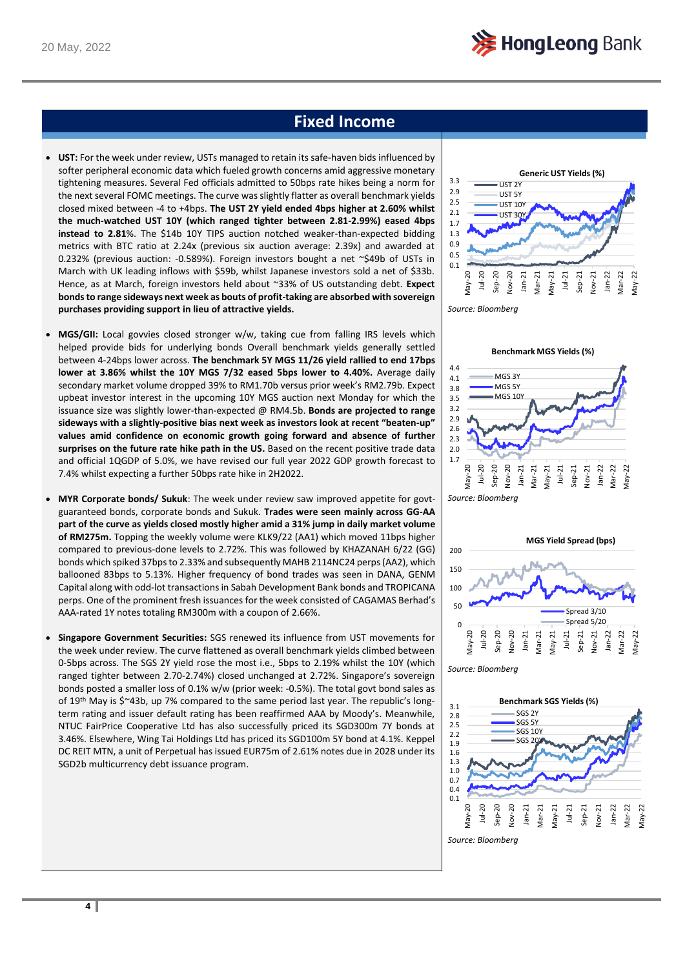## **Fixed Income**

- **UST:** For the week under review, USTs managed to retain its safe-haven bids influenced by softer peripheral economic data which fueled growth concerns amid aggressive monetary tightening measures. Several Fed officials admitted to 50bps rate hikes being a norm for the next several FOMC meetings. The curve was slightly flatter as overall benchmark yields closed mixed between -4 to +4bps. **The UST 2Y yield ended 4bps higher at 2.60% whilst the much-watched UST 10Y (which ranged tighter between 2.81-2.99%) eased 4bps instead to 2.81**%. The \$14b 10Y TIPS auction notched weaker-than-expected bidding metrics with BTC ratio at 2.24x (previous six auction average: 2.39x) and awarded at 0.232% (previous auction: -0.589%). Foreign investors bought a net ~\$49b of USTs in March with UK leading inflows with \$59b, whilst Japanese investors sold a net of \$33b. Hence, as at March, foreign investors held about ~33% of US outstanding debt. **Expect bonds to range sideways next week as bouts of profit-taking are absorbed with sovereign purchases providing support in lieu of attractive yields.**
- **MGS/GII:** Local govvies closed stronger w/w, taking cue from falling IRS levels which helped provide bids for underlying bonds Overall benchmark yields generally settled between 4-24bps lower across. **The benchmark 5Y MGS 11/26 yield rallied to end 17bps lower at 3.86% whilst the 10Y MGS 7/32 eased 5bps lower to 4.40%.** Average daily secondary market volume dropped 39% to RM1.70b versus prior week's RM2.79b. Expect upbeat investor interest in the upcoming 10Y MGS auction next Monday for which the issuance size was slightly lower-than-expected @ RM4.5b. **Bonds are projected to range sideways with a slightly-positive bias next week as investors look at recent "beaten-up" values amid confidence on economic growth going forward and absence of further surprises on the future rate hike path in the US.** Based on the recent positive trade data and official 1QGDP of 5.0%, we have revised our full year 2022 GDP growth forecast to 7.4% whilst expecting a further 50bps rate hike in 2H2022.
- **MYR Corporate bonds/ Sukuk**: The week under review saw improved appetite for govtguaranteed bonds, corporate bonds and Sukuk. **Trades were seen mainly across GG-AA part of the curve as yields closed mostly higher amid a 31% jump in daily market volume of RM275m.** Topping the weekly volume were KLK9/22 (AA1) which moved 11bps higher compared to previous-done levels to 2.72%. This was followed by KHAZANAH 6/22 (GG) bonds which spiked 37bps to 2.33% and subsequently MAHB 2114NC24 perps (AA2), which ballooned 83bps to 5.13%. Higher frequency of bond trades was seen in DANA, GENM Capital along with odd-lot transactions in Sabah Development Bank bonds and TROPICANA perps. One of the prominent fresh issuances for the week consisted of CAGAMAS Berhad's AAA-rated 1Y notes totaling RM300m with a coupon of 2.66%.
- **Singapore Government Securities:** SGS renewed its influence from UST movements for the week under review. The curve flattened as overall benchmark yields climbed between 0-5bps across. The SGS 2Y yield rose the most i.e., 5bps to 2.19% whilst the 10Y (which ranged tighter between 2.70-2.74%) closed unchanged at 2.72%. Singapore's sovereign bonds posted a smaller loss of 0.1% w/w (prior week: -0.5%). The total govt bond sales as of 19<sup>th</sup> May is  $\zeta \sim 43b$ , up 7% compared to the same period last year. The republic's longterm rating and issuer default rating has been reaffirmed AAA by Moody's. Meanwhile, NTUC FairPrice Cooperative Ltd has also successfully priced its SGD300m 7Y bonds at 3.46%. Elsewhere, Wing Tai Holdings Ltd has priced its SGD100m 5Y bond at 4.1%. Keppel DC REIT MTN, a unit of Perpetual has issued EUR75m of 2.61% notes due in 2028 under its SGD2b multicurrency debt issuance program.









*Source: Bloomberg*

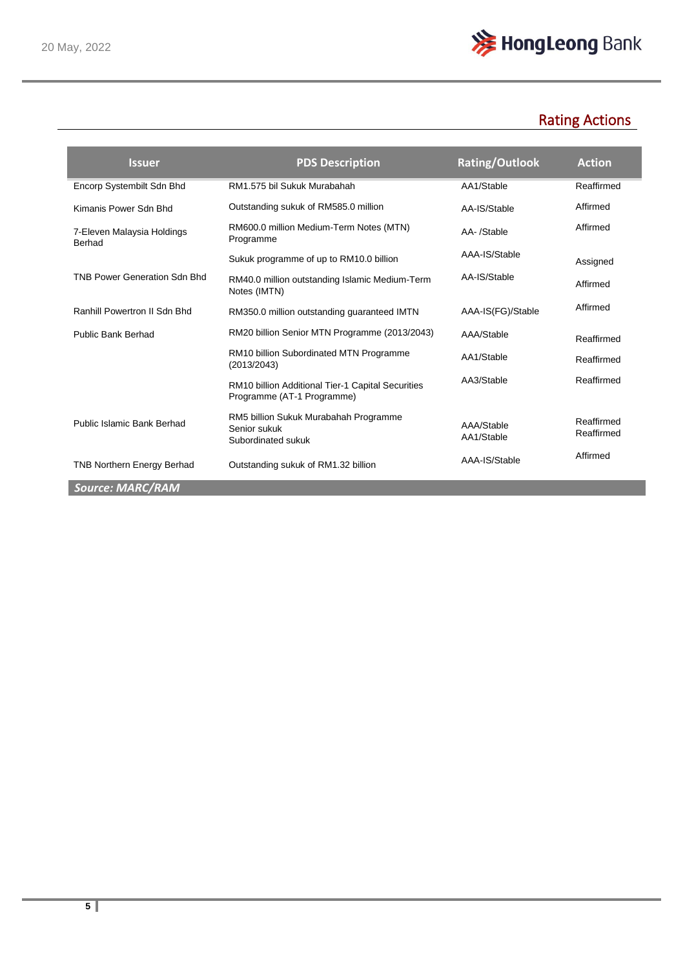

# Rating Actions

| <b>Issuer</b>                                                 | <b>PDS Description</b>                                                          | <b>Rating/Outlook</b>    | <b>Action</b>            |
|---------------------------------------------------------------|---------------------------------------------------------------------------------|--------------------------|--------------------------|
| Encorp Systembilt Sdn Bhd                                     | RM1.575 bil Sukuk Murabahah                                                     | AA1/Stable               | Reaffirmed               |
| Kimanis Power Sdn Bhd                                         | Outstanding sukuk of RM585.0 million                                            | AA-IS/Stable             | Affirmed                 |
| 7-Eleven Malaysia Holdings<br>Berhad                          | RM600.0 million Medium-Term Notes (MTN)<br>Programme                            | AA-/Stable               | Affirmed                 |
|                                                               | Sukuk programme of up to RM10.0 billion                                         | AAA-IS/Stable            | Assigned                 |
| <b>TNB Power Generation Sdn Bhd</b>                           | RM40.0 million outstanding Islamic Medium-Term<br>Notes (IMTN)                  | AA-IS/Stable             | Affirmed                 |
| Ranhill Powertron II Sdn Bhd                                  | RM350.0 million outstanding guaranteed IMTN                                     | AAA-IS(FG)/Stable        | Affirmed                 |
| <b>Public Bank Berhad</b>                                     | RM20 billion Senior MTN Programme (2013/2043)                                   | AAA/Stable               | Reaffirmed               |
|                                                               | RM10 billion Subordinated MTN Programme<br>(2013/2043)                          | AA1/Stable               | Reaffirmed               |
|                                                               | RM10 billion Additional Tier-1 Capital Securities<br>Programme (AT-1 Programme) | AA3/Stable               | Reaffirmed               |
| Public Islamic Bank Berhad                                    | RM5 billion Sukuk Murabahah Programme<br>Senior sukuk<br>Subordinated sukuk     | AAA/Stable<br>AA1/Stable | Reaffirmed<br>Reaffirmed |
| <b>TNB Northern Energy Berhad</b><br>and a more than the con- | Outstanding sukuk of RM1.32 billion                                             | AAA-IS/Stable            | Affirmed                 |

*Source: MARC/RAM*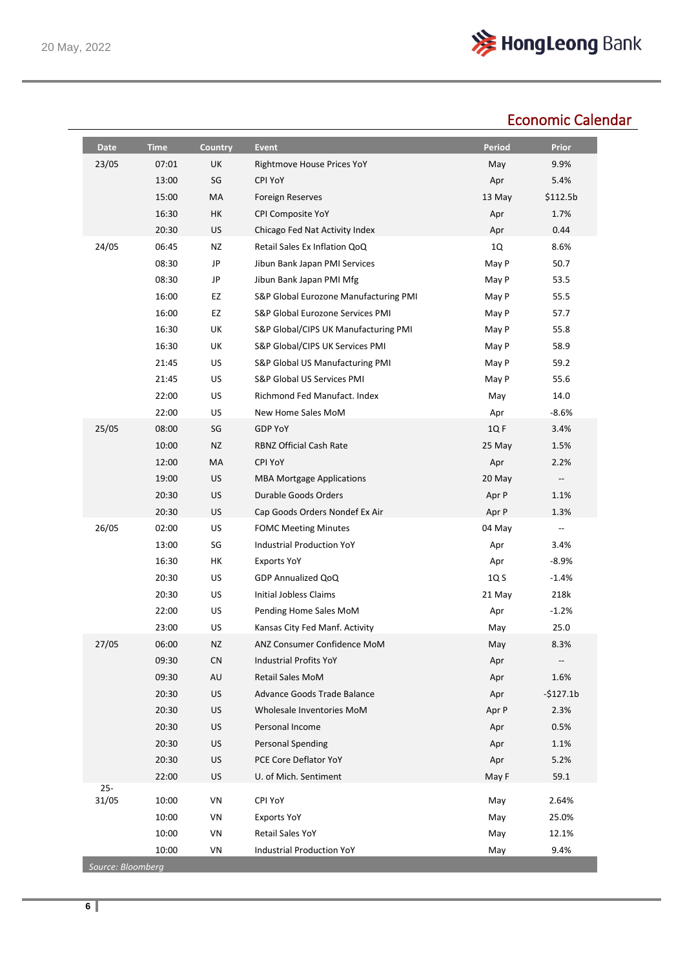

# Economic Calendar

| 23/05<br>07:01<br>UK<br>Rightmove House Prices YoY<br>SG<br>13:00<br><b>CPI YoY</b><br>15:00<br>МA<br><b>Foreign Reserves</b><br>HK<br>16:30<br>CPI Composite YoY<br>20:30<br><b>US</b><br>Chicago Fed Nat Activity Index<br>24/05<br>06:45<br><b>NZ</b><br>Retail Sales Ex Inflation QoQ<br>08:30<br>JP<br>Jibun Bank Japan PMI Services<br>08:30<br>JP<br>Jibun Bank Japan PMI Mfg<br>16:00<br>EZ<br>S&P Global Eurozone Manufacturing PMI<br>16:00<br>EZ<br>S&P Global Eurozone Services PMI<br>UK<br>16:30<br>S&P Global/CIPS UK Manufacturing PMI<br>UK<br>16:30<br>S&P Global/CIPS UK Services PMI<br>US<br>21:45<br>S&P Global US Manufacturing PMI<br>21:45<br>US<br>S&P Global US Services PMI<br>22:00<br>US<br>Richmond Fed Manufact, Index<br>22:00<br>US<br>New Home Sales MoM<br>25/05<br>08:00<br>SG<br><b>GDP YoY</b><br>10:00<br>NZ<br><b>RBNZ Official Cash Rate</b><br>12:00<br>MA<br><b>CPI YoY</b><br>19:00<br><b>US</b><br><b>MBA Mortgage Applications</b><br>20:30<br>US<br>Durable Goods Orders<br>20:30<br>US<br>Cap Goods Orders Nondef Ex Air<br>26/05<br>02:00<br>US<br><b>FOMC Meeting Minutes</b><br>13:00<br>SG<br>Industrial Production YoY<br>HK<br>16:30<br><b>Exports YoY</b><br>20:30<br>US<br>GDP Annualized QoQ<br>Initial Jobless Claims<br>20:30<br>US<br>22:00<br>US<br>Pending Home Sales MoM<br>23:00<br>US<br>Kansas City Fed Manf. Activity<br>27/05<br>06:00<br><b>NZ</b><br>ANZ Consumer Confidence MoM<br>09:30<br><b>CN</b><br><b>Industrial Profits YoY</b><br>09:30<br>AU<br><b>Retail Sales MoM</b><br>20:30<br>US<br>Advance Goods Trade Balance<br>20:30<br>US<br>Wholesale Inventories MoM<br>20:30<br>US<br>Personal Income<br>20:30<br>US<br><b>Personal Spending</b><br>20:30<br>US<br>PCE Core Deflator YoY<br>22:00<br><b>US</b><br>U. of Mich. Sentiment<br>$25 -$<br>31/05<br>10:00<br>VN<br>CPI YoY | <b>Period</b>   | <b>Prior</b>             |
|---------------------------------------------------------------------------------------------------------------------------------------------------------------------------------------------------------------------------------------------------------------------------------------------------------------------------------------------------------------------------------------------------------------------------------------------------------------------------------------------------------------------------------------------------------------------------------------------------------------------------------------------------------------------------------------------------------------------------------------------------------------------------------------------------------------------------------------------------------------------------------------------------------------------------------------------------------------------------------------------------------------------------------------------------------------------------------------------------------------------------------------------------------------------------------------------------------------------------------------------------------------------------------------------------------------------------------------------------------------------------------------------------------------------------------------------------------------------------------------------------------------------------------------------------------------------------------------------------------------------------------------------------------------------------------------------------------------------------------------------------------------------------------------------------------------------------------------------------------------------|-----------------|--------------------------|
|                                                                                                                                                                                                                                                                                                                                                                                                                                                                                                                                                                                                                                                                                                                                                                                                                                                                                                                                                                                                                                                                                                                                                                                                                                                                                                                                                                                                                                                                                                                                                                                                                                                                                                                                                                                                                                                                     | May             | 9.9%                     |
|                                                                                                                                                                                                                                                                                                                                                                                                                                                                                                                                                                                                                                                                                                                                                                                                                                                                                                                                                                                                                                                                                                                                                                                                                                                                                                                                                                                                                                                                                                                                                                                                                                                                                                                                                                                                                                                                     | Apr             | 5.4%                     |
|                                                                                                                                                                                                                                                                                                                                                                                                                                                                                                                                                                                                                                                                                                                                                                                                                                                                                                                                                                                                                                                                                                                                                                                                                                                                                                                                                                                                                                                                                                                                                                                                                                                                                                                                                                                                                                                                     | 13 May          | \$112.5b                 |
|                                                                                                                                                                                                                                                                                                                                                                                                                                                                                                                                                                                                                                                                                                                                                                                                                                                                                                                                                                                                                                                                                                                                                                                                                                                                                                                                                                                                                                                                                                                                                                                                                                                                                                                                                                                                                                                                     | Apr             | 1.7%                     |
|                                                                                                                                                                                                                                                                                                                                                                                                                                                                                                                                                                                                                                                                                                                                                                                                                                                                                                                                                                                                                                                                                                                                                                                                                                                                                                                                                                                                                                                                                                                                                                                                                                                                                                                                                                                                                                                                     | Apr             | 0.44                     |
|                                                                                                                                                                                                                                                                                                                                                                                                                                                                                                                                                                                                                                                                                                                                                                                                                                                                                                                                                                                                                                                                                                                                                                                                                                                                                                                                                                                                                                                                                                                                                                                                                                                                                                                                                                                                                                                                     | 1Q              | 8.6%                     |
|                                                                                                                                                                                                                                                                                                                                                                                                                                                                                                                                                                                                                                                                                                                                                                                                                                                                                                                                                                                                                                                                                                                                                                                                                                                                                                                                                                                                                                                                                                                                                                                                                                                                                                                                                                                                                                                                     | May P           | 50.7                     |
|                                                                                                                                                                                                                                                                                                                                                                                                                                                                                                                                                                                                                                                                                                                                                                                                                                                                                                                                                                                                                                                                                                                                                                                                                                                                                                                                                                                                                                                                                                                                                                                                                                                                                                                                                                                                                                                                     | May P           | 53.5                     |
|                                                                                                                                                                                                                                                                                                                                                                                                                                                                                                                                                                                                                                                                                                                                                                                                                                                                                                                                                                                                                                                                                                                                                                                                                                                                                                                                                                                                                                                                                                                                                                                                                                                                                                                                                                                                                                                                     | May P           | 55.5                     |
|                                                                                                                                                                                                                                                                                                                                                                                                                                                                                                                                                                                                                                                                                                                                                                                                                                                                                                                                                                                                                                                                                                                                                                                                                                                                                                                                                                                                                                                                                                                                                                                                                                                                                                                                                                                                                                                                     | May P           | 57.7                     |
|                                                                                                                                                                                                                                                                                                                                                                                                                                                                                                                                                                                                                                                                                                                                                                                                                                                                                                                                                                                                                                                                                                                                                                                                                                                                                                                                                                                                                                                                                                                                                                                                                                                                                                                                                                                                                                                                     | May P           | 55.8                     |
|                                                                                                                                                                                                                                                                                                                                                                                                                                                                                                                                                                                                                                                                                                                                                                                                                                                                                                                                                                                                                                                                                                                                                                                                                                                                                                                                                                                                                                                                                                                                                                                                                                                                                                                                                                                                                                                                     | May P           | 58.9                     |
|                                                                                                                                                                                                                                                                                                                                                                                                                                                                                                                                                                                                                                                                                                                                                                                                                                                                                                                                                                                                                                                                                                                                                                                                                                                                                                                                                                                                                                                                                                                                                                                                                                                                                                                                                                                                                                                                     | May P           | 59.2                     |
|                                                                                                                                                                                                                                                                                                                                                                                                                                                                                                                                                                                                                                                                                                                                                                                                                                                                                                                                                                                                                                                                                                                                                                                                                                                                                                                                                                                                                                                                                                                                                                                                                                                                                                                                                                                                                                                                     | May P           | 55.6                     |
|                                                                                                                                                                                                                                                                                                                                                                                                                                                                                                                                                                                                                                                                                                                                                                                                                                                                                                                                                                                                                                                                                                                                                                                                                                                                                                                                                                                                                                                                                                                                                                                                                                                                                                                                                                                                                                                                     | May             | 14.0                     |
|                                                                                                                                                                                                                                                                                                                                                                                                                                                                                                                                                                                                                                                                                                                                                                                                                                                                                                                                                                                                                                                                                                                                                                                                                                                                                                                                                                                                                                                                                                                                                                                                                                                                                                                                                                                                                                                                     | Apr             | $-8.6%$                  |
|                                                                                                                                                                                                                                                                                                                                                                                                                                                                                                                                                                                                                                                                                                                                                                                                                                                                                                                                                                                                                                                                                                                                                                                                                                                                                                                                                                                                                                                                                                                                                                                                                                                                                                                                                                                                                                                                     | 1QF             | 3.4%                     |
|                                                                                                                                                                                                                                                                                                                                                                                                                                                                                                                                                                                                                                                                                                                                                                                                                                                                                                                                                                                                                                                                                                                                                                                                                                                                                                                                                                                                                                                                                                                                                                                                                                                                                                                                                                                                                                                                     | 25 May          | 1.5%                     |
|                                                                                                                                                                                                                                                                                                                                                                                                                                                                                                                                                                                                                                                                                                                                                                                                                                                                                                                                                                                                                                                                                                                                                                                                                                                                                                                                                                                                                                                                                                                                                                                                                                                                                                                                                                                                                                                                     | Apr             | 2.2%                     |
|                                                                                                                                                                                                                                                                                                                                                                                                                                                                                                                                                                                                                                                                                                                                                                                                                                                                                                                                                                                                                                                                                                                                                                                                                                                                                                                                                                                                                                                                                                                                                                                                                                                                                                                                                                                                                                                                     | 20 May          | --                       |
|                                                                                                                                                                                                                                                                                                                                                                                                                                                                                                                                                                                                                                                                                                                                                                                                                                                                                                                                                                                                                                                                                                                                                                                                                                                                                                                                                                                                                                                                                                                                                                                                                                                                                                                                                                                                                                                                     | Apr P           | 1.1%                     |
|                                                                                                                                                                                                                                                                                                                                                                                                                                                                                                                                                                                                                                                                                                                                                                                                                                                                                                                                                                                                                                                                                                                                                                                                                                                                                                                                                                                                                                                                                                                                                                                                                                                                                                                                                                                                                                                                     | Apr P           | 1.3%                     |
|                                                                                                                                                                                                                                                                                                                                                                                                                                                                                                                                                                                                                                                                                                                                                                                                                                                                                                                                                                                                                                                                                                                                                                                                                                                                                                                                                                                                                                                                                                                                                                                                                                                                                                                                                                                                                                                                     | 04 May          | $\overline{\phantom{a}}$ |
|                                                                                                                                                                                                                                                                                                                                                                                                                                                                                                                                                                                                                                                                                                                                                                                                                                                                                                                                                                                                                                                                                                                                                                                                                                                                                                                                                                                                                                                                                                                                                                                                                                                                                                                                                                                                                                                                     | Apr             | 3.4%                     |
|                                                                                                                                                                                                                                                                                                                                                                                                                                                                                                                                                                                                                                                                                                                                                                                                                                                                                                                                                                                                                                                                                                                                                                                                                                                                                                                                                                                                                                                                                                                                                                                                                                                                                                                                                                                                                                                                     | Apr             | $-8.9%$                  |
|                                                                                                                                                                                                                                                                                                                                                                                                                                                                                                                                                                                                                                                                                                                                                                                                                                                                                                                                                                                                                                                                                                                                                                                                                                                                                                                                                                                                                                                                                                                                                                                                                                                                                                                                                                                                                                                                     | 1Q <sub>S</sub> | $-1.4%$                  |
|                                                                                                                                                                                                                                                                                                                                                                                                                                                                                                                                                                                                                                                                                                                                                                                                                                                                                                                                                                                                                                                                                                                                                                                                                                                                                                                                                                                                                                                                                                                                                                                                                                                                                                                                                                                                                                                                     | 21 May          | 218k                     |
|                                                                                                                                                                                                                                                                                                                                                                                                                                                                                                                                                                                                                                                                                                                                                                                                                                                                                                                                                                                                                                                                                                                                                                                                                                                                                                                                                                                                                                                                                                                                                                                                                                                                                                                                                                                                                                                                     | Apr             | $-1.2%$                  |
|                                                                                                                                                                                                                                                                                                                                                                                                                                                                                                                                                                                                                                                                                                                                                                                                                                                                                                                                                                                                                                                                                                                                                                                                                                                                                                                                                                                                                                                                                                                                                                                                                                                                                                                                                                                                                                                                     | May             | 25.0                     |
|                                                                                                                                                                                                                                                                                                                                                                                                                                                                                                                                                                                                                                                                                                                                                                                                                                                                                                                                                                                                                                                                                                                                                                                                                                                                                                                                                                                                                                                                                                                                                                                                                                                                                                                                                                                                                                                                     | May             | 8.3%                     |
|                                                                                                                                                                                                                                                                                                                                                                                                                                                                                                                                                                                                                                                                                                                                                                                                                                                                                                                                                                                                                                                                                                                                                                                                                                                                                                                                                                                                                                                                                                                                                                                                                                                                                                                                                                                                                                                                     | Apr             | $\overline{\phantom{a}}$ |
|                                                                                                                                                                                                                                                                                                                                                                                                                                                                                                                                                                                                                                                                                                                                                                                                                                                                                                                                                                                                                                                                                                                                                                                                                                                                                                                                                                                                                                                                                                                                                                                                                                                                                                                                                                                                                                                                     | Apr             | 1.6%                     |
|                                                                                                                                                                                                                                                                                                                                                                                                                                                                                                                                                                                                                                                                                                                                                                                                                                                                                                                                                                                                                                                                                                                                                                                                                                                                                                                                                                                                                                                                                                                                                                                                                                                                                                                                                                                                                                                                     | Apr             | $-5127.1b$               |
|                                                                                                                                                                                                                                                                                                                                                                                                                                                                                                                                                                                                                                                                                                                                                                                                                                                                                                                                                                                                                                                                                                                                                                                                                                                                                                                                                                                                                                                                                                                                                                                                                                                                                                                                                                                                                                                                     | Apr P           | 2.3%                     |
|                                                                                                                                                                                                                                                                                                                                                                                                                                                                                                                                                                                                                                                                                                                                                                                                                                                                                                                                                                                                                                                                                                                                                                                                                                                                                                                                                                                                                                                                                                                                                                                                                                                                                                                                                                                                                                                                     | Apr             | 0.5%                     |
|                                                                                                                                                                                                                                                                                                                                                                                                                                                                                                                                                                                                                                                                                                                                                                                                                                                                                                                                                                                                                                                                                                                                                                                                                                                                                                                                                                                                                                                                                                                                                                                                                                                                                                                                                                                                                                                                     | Apr             | 1.1%                     |
|                                                                                                                                                                                                                                                                                                                                                                                                                                                                                                                                                                                                                                                                                                                                                                                                                                                                                                                                                                                                                                                                                                                                                                                                                                                                                                                                                                                                                                                                                                                                                                                                                                                                                                                                                                                                                                                                     | Apr             | 5.2%                     |
|                                                                                                                                                                                                                                                                                                                                                                                                                                                                                                                                                                                                                                                                                                                                                                                                                                                                                                                                                                                                                                                                                                                                                                                                                                                                                                                                                                                                                                                                                                                                                                                                                                                                                                                                                                                                                                                                     | May F           | 59.1                     |
|                                                                                                                                                                                                                                                                                                                                                                                                                                                                                                                                                                                                                                                                                                                                                                                                                                                                                                                                                                                                                                                                                                                                                                                                                                                                                                                                                                                                                                                                                                                                                                                                                                                                                                                                                                                                                                                                     | May             | 2.64%                    |
| 10:00<br>VN<br><b>Exports YoY</b>                                                                                                                                                                                                                                                                                                                                                                                                                                                                                                                                                                                                                                                                                                                                                                                                                                                                                                                                                                                                                                                                                                                                                                                                                                                                                                                                                                                                                                                                                                                                                                                                                                                                                                                                                                                                                                   | May             | 25.0%                    |
| 10:00<br><b>Retail Sales YoY</b><br>VN                                                                                                                                                                                                                                                                                                                                                                                                                                                                                                                                                                                                                                                                                                                                                                                                                                                                                                                                                                                                                                                                                                                                                                                                                                                                                                                                                                                                                                                                                                                                                                                                                                                                                                                                                                                                                              | May             | 12.1%                    |
| 10:00<br>VN<br><b>Industrial Production YoY</b>                                                                                                                                                                                                                                                                                                                                                                                                                                                                                                                                                                                                                                                                                                                                                                                                                                                                                                                                                                                                                                                                                                                                                                                                                                                                                                                                                                                                                                                                                                                                                                                                                                                                                                                                                                                                                     | May             | 9.4%                     |